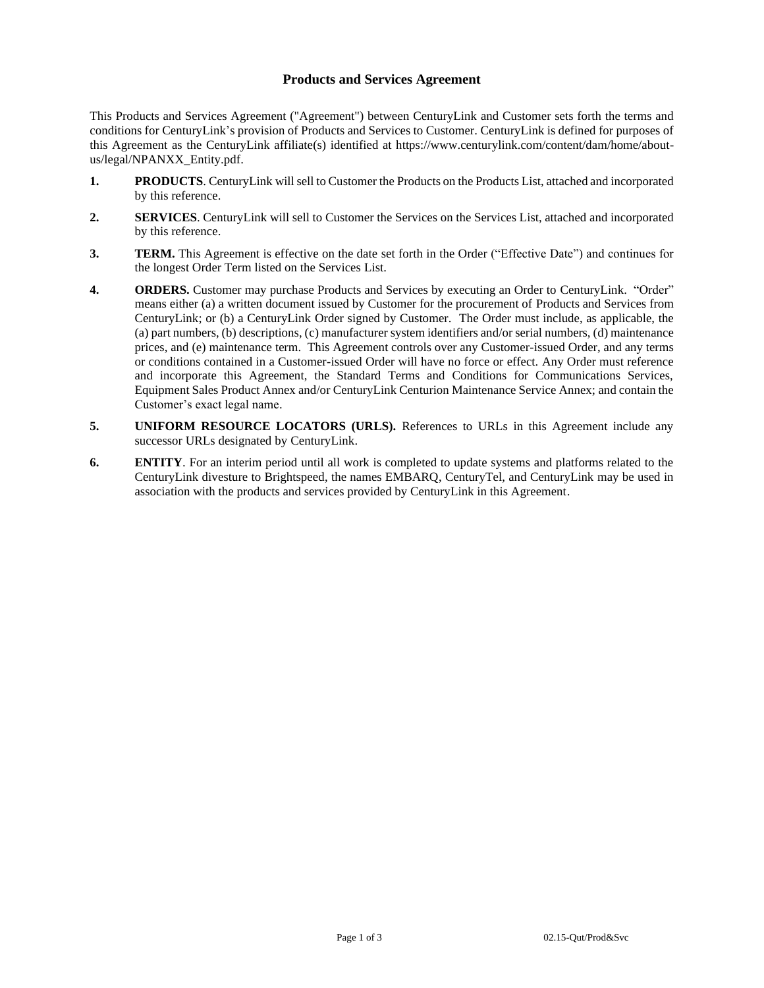# **Products and Services Agreement**

This Products and Services Agreement ("Agreement") between CenturyLink and Customer sets forth the terms and conditions for CenturyLink's provision of Products and Services to Customer. CenturyLink is defined for purposes of this Agreement as the CenturyLink affiliate(s) identified at https://www.centurylink.com/content/dam/home/aboutus/legal/NPANXX\_Entity.pdf.

- **1. PRODUCTS**. CenturyLink will sell to Customer the Products on the Products List, attached and incorporated by this reference.
- **2. SERVICES**. CenturyLink will sell to Customer the Services on the Services List, attached and incorporated by this reference.
- **3. TERM.** This Agreement is effective on the date set forth in the Order ("Effective Date") and continues for the longest Order Term listed on the Services List.
- **4. ORDERS.** Customer may purchase Products and Services by executing an Order to CenturyLink. "Order" means either (a) a written document issued by Customer for the procurement of Products and Services from CenturyLink; or (b) a CenturyLink Order signed by Customer. The Order must include, as applicable, the (a) part numbers, (b) descriptions, (c) manufacturer system identifiers and/or serial numbers, (d) maintenance prices, and (e) maintenance term. This Agreement controls over any Customer-issued Order, and any terms or conditions contained in a Customer-issued Order will have no force or effect. Any Order must reference and incorporate this Agreement, the Standard Terms and Conditions for Communications Services, Equipment Sales Product Annex and/or CenturyLink Centurion Maintenance Service Annex; and contain the Customer's exact legal name.
- **5. UNIFORM RESOURCE LOCATORS (URLS).** References to URLs in this Agreement include any successor URLs designated by CenturyLink.
- **6. ENTITY**. For an interim period until all work is completed to update systems and platforms related to the CenturyLink divesture to Brightspeed, the names EMBARQ, CenturyTel, and CenturyLink may be used in association with the products and services provided by CenturyLink in this Agreement.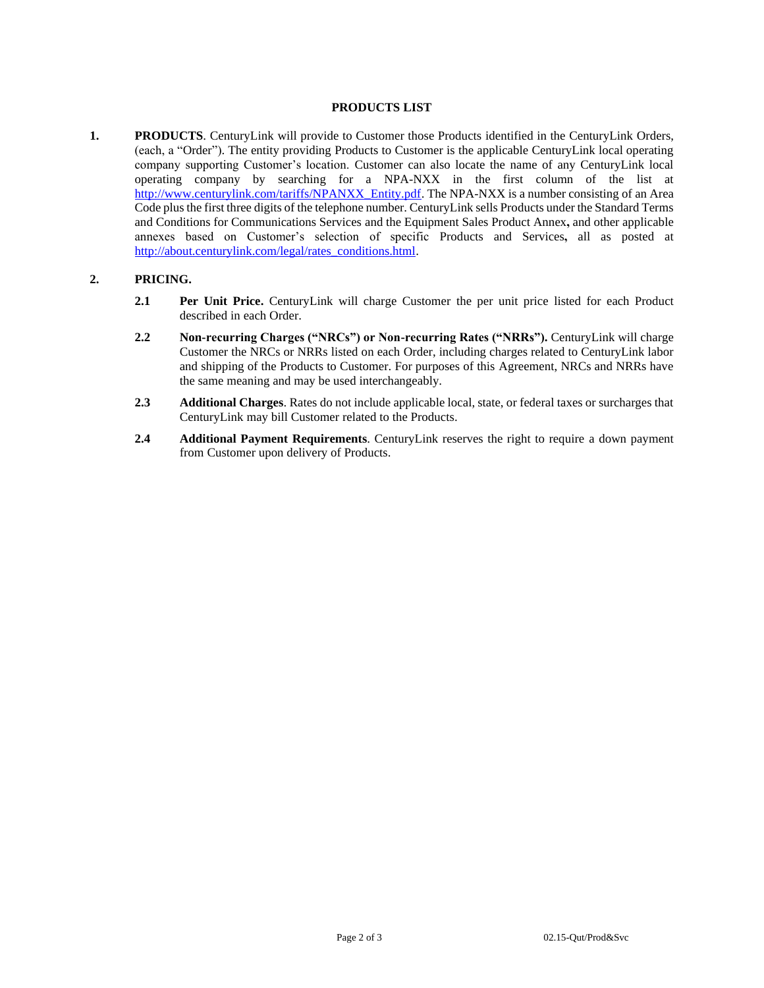## **PRODUCTS LIST**

**1. PRODUCTS**. CenturyLink will provide to Customer those Products identified in the CenturyLink Orders, (each, a "Order"). The entity providing Products to Customer is the applicable CenturyLink local operating company supporting Customer's location. Customer can also locate the name of any CenturyLink local operating company by searching for a NPA-NXX in the first column of the list at [http://www.centurylink.com/tariffs/NPANXX\\_Entity.pdf.](http://www.centurylink.com/tariffs/NPANXX_Entity.pdf) The NPA-NXX is a number consisting of an Area Code plus the first three digits of the telephone number. CenturyLink sells Products under the Standard Terms and Conditions for Communications Services and the Equipment Sales Product Annex**,** and other applicable annexes based on Customer's selection of specific Products and Services**,** all as posted at [http://about.centurylink.com/legal/rates\\_conditions.html.](http://about.centurylink.com/legal/rates_conditions.html)

#### **2. PRICING.**

- **2.1 Per Unit Price.** CenturyLink will charge Customer the per unit price listed for each Product described in each Order.
- **2.2 Non-recurring Charges ("NRCs") or Non-recurring Rates ("NRRs").** CenturyLink will charge Customer the NRCs or NRRs listed on each Order, including charges related to CenturyLink labor and shipping of the Products to Customer. For purposes of this Agreement, NRCs and NRRs have the same meaning and may be used interchangeably.
- **2.3 Additional Charges**. Rates do not include applicable local, state, or federal taxes or surcharges that CenturyLink may bill Customer related to the Products.
- **2.4 Additional Payment Requirements**. CenturyLink reserves the right to require a down payment from Customer upon delivery of Products.